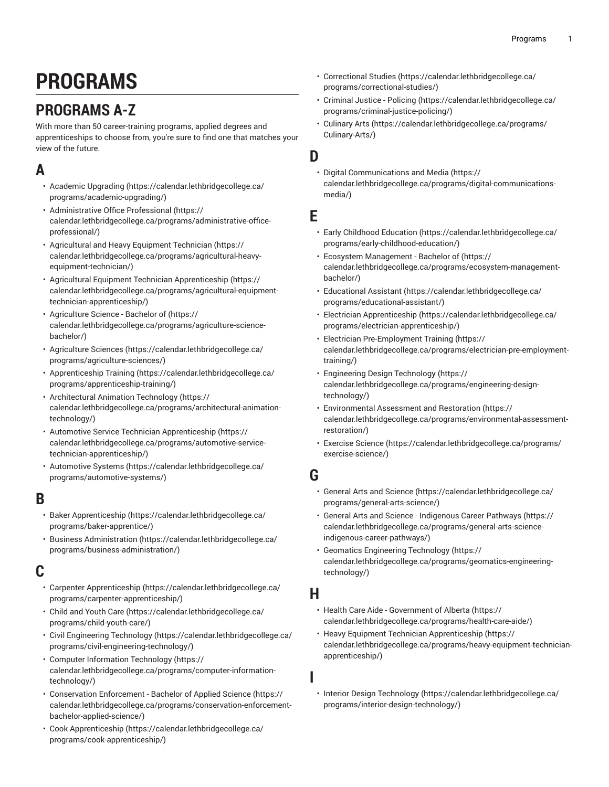# **PROGRAMS**

# <span id="page-0-0"></span>**PROGRAMS A-Z**

With more than 50 career-training programs, applied degrees and apprenticeships to choose from, you're sure to find one that matches your view of the future.

### **A**

- [Academic Upgrading](https://calendar.lethbridgecollege.ca/programs/academic-upgrading/) ([https://calendar.lethbridgecollege.ca/](https://calendar.lethbridgecollege.ca/programs/academic-upgrading/) [programs/academic-upgrading/\)](https://calendar.lethbridgecollege.ca/programs/academic-upgrading/)
- [Administrative](https://calendar.lethbridgecollege.ca/programs/administrative-office-professional/) Office Professional [\(https://](https://calendar.lethbridgecollege.ca/programs/administrative-office-professional/) [calendar.lethbridgecollege.ca/programs/administrative-office](https://calendar.lethbridgecollege.ca/programs/administrative-office-professional/)[professional/\)](https://calendar.lethbridgecollege.ca/programs/administrative-office-professional/)
- [Agricultural](https://calendar.lethbridgecollege.ca/programs/agricultural-heavy-equipment-technician/) and Heavy Equipment Technician ([https://](https://calendar.lethbridgecollege.ca/programs/agricultural-heavy-equipment-technician/) [calendar.lethbridgecollege.ca/programs/agricultural-heavy](https://calendar.lethbridgecollege.ca/programs/agricultural-heavy-equipment-technician/)[equipment-technician/](https://calendar.lethbridgecollege.ca/programs/agricultural-heavy-equipment-technician/))
- Agricultural Equipment Technician [Apprenticeship \(https://](https://calendar.lethbridgecollege.ca/programs/agricultural-equipment-technician-apprenticeship/) [calendar.lethbridgecollege.ca/programs/agricultural-equipment](https://calendar.lethbridgecollege.ca/programs/agricultural-equipment-technician-apprenticeship/)[technician-apprenticeship/](https://calendar.lethbridgecollege.ca/programs/agricultural-equipment-technician-apprenticeship/))
- [Agriculture](https://calendar.lethbridgecollege.ca/programs/agriculture-science-bachelor/) Science Bachelor of ([https://](https://calendar.lethbridgecollege.ca/programs/agriculture-science-bachelor/) [calendar.lethbridgecollege.ca/programs/agriculture-science](https://calendar.lethbridgecollege.ca/programs/agriculture-science-bachelor/)[bachelor/\)](https://calendar.lethbridgecollege.ca/programs/agriculture-science-bachelor/)
- [Agriculture](https://calendar.lethbridgecollege.ca/programs/agriculture-sciences/) Sciences ([https://calendar.lethbridgecollege.ca/](https://calendar.lethbridgecollege.ca/programs/agriculture-sciences/) [programs/agriculture-sciences/\)](https://calendar.lethbridgecollege.ca/programs/agriculture-sciences/)
- [Apprenticeship](https://calendar.lethbridgecollege.ca/programs/apprenticeship-training/) Training [\(https://calendar.lethbridgecollege.ca/](https://calendar.lethbridgecollege.ca/programs/apprenticeship-training/) [programs/apprenticeship-training/](https://calendar.lethbridgecollege.ca/programs/apprenticeship-training/))
- [Architectural](https://calendar.lethbridgecollege.ca/programs/architectural-animation-technology/) Animation Technology [\(https://](https://calendar.lethbridgecollege.ca/programs/architectural-animation-technology/) [calendar.lethbridgecollege.ca/programs/architectural-animation](https://calendar.lethbridgecollege.ca/programs/architectural-animation-technology/)[technology/](https://calendar.lethbridgecollege.ca/programs/architectural-animation-technology/))
- Automotive Service Technician [Apprenticeship](https://calendar.lethbridgecollege.ca/programs/automotive-service-technician-apprenticeship/) ([https://](https://calendar.lethbridgecollege.ca/programs/automotive-service-technician-apprenticeship/) [calendar.lethbridgecollege.ca/programs/automotive-service](https://calendar.lethbridgecollege.ca/programs/automotive-service-technician-apprenticeship/)[technician-apprenticeship/](https://calendar.lethbridgecollege.ca/programs/automotive-service-technician-apprenticeship/))
- [Automotive](https://calendar.lethbridgecollege.ca/programs/automotive-systems/) Systems [\(https://calendar.lethbridgecollege.ca/](https://calendar.lethbridgecollege.ca/programs/automotive-systems/) [programs/automotive-systems/\)](https://calendar.lethbridgecollege.ca/programs/automotive-systems/)

### **B**

- Baker [Apprenticeship \(https://calendar.lethbridgecollege.ca/](https://calendar.lethbridgecollege.ca/programs/baker-apprentice/) [programs/baker-apprentice/](https://calendar.lethbridgecollege.ca/programs/baker-apprentice/))
- [Business Administration](https://calendar.lethbridgecollege.ca/programs/business-administration/) ([https://calendar.lethbridgecollege.ca/](https://calendar.lethbridgecollege.ca/programs/business-administration/) [programs/business-administration/](https://calendar.lethbridgecollege.ca/programs/business-administration/))

#### **C**

- Carpenter [Apprenticeship](https://calendar.lethbridgecollege.ca/programs/carpenter-apprenticeship/) [\(https://calendar.lethbridgecollege.ca/](https://calendar.lethbridgecollege.ca/programs/carpenter-apprenticeship/) [programs/carpenter-apprenticeship/](https://calendar.lethbridgecollege.ca/programs/carpenter-apprenticeship/))
- Child and [Youth](https://calendar.lethbridgecollege.ca/programs/child-youth-care/) Care ([https://calendar.lethbridgecollege.ca/](https://calendar.lethbridgecollege.ca/programs/child-youth-care/) [programs/child-youth-care/\)](https://calendar.lethbridgecollege.ca/programs/child-youth-care/)
- Civil [Engineering](https://calendar.lethbridgecollege.ca/programs/civil-engineering-technology/) Technology ([https://calendar.lethbridgecollege.ca/](https://calendar.lethbridgecollege.ca/programs/civil-engineering-technology/) [programs/civil-engineering-technology/\)](https://calendar.lethbridgecollege.ca/programs/civil-engineering-technology/)
- Computer [Information](https://calendar.lethbridgecollege.ca/programs/computer-information-technology/) Technology ([https://](https://calendar.lethbridgecollege.ca/programs/computer-information-technology/) [calendar.lethbridgecollege.ca/programs/computer-information](https://calendar.lethbridgecollege.ca/programs/computer-information-technology/)[technology/](https://calendar.lethbridgecollege.ca/programs/computer-information-technology/))
- [Conservation](https://calendar.lethbridgecollege.ca/programs/conservation-enforcement-bachelor-applied-science/) Enforcement Bachelor of Applied Science [\(https://](https://calendar.lethbridgecollege.ca/programs/conservation-enforcement-bachelor-applied-science/) [calendar.lethbridgecollege.ca/programs/conservation-enforcement](https://calendar.lethbridgecollege.ca/programs/conservation-enforcement-bachelor-applied-science/)[bachelor-applied-science/\)](https://calendar.lethbridgecollege.ca/programs/conservation-enforcement-bachelor-applied-science/)
- Cook [Apprenticeship](https://calendar.lethbridgecollege.ca/programs/cook-apprenticeship/) [\(https://calendar.lethbridgecollege.ca/](https://calendar.lethbridgecollege.ca/programs/cook-apprenticeship/) [programs/cook-apprenticeship/](https://calendar.lethbridgecollege.ca/programs/cook-apprenticeship/))
- [Correctional](https://calendar.lethbridgecollege.ca/programs/correctional-studies/) Studies ([https://calendar.lethbridgecollege.ca/](https://calendar.lethbridgecollege.ca/programs/correctional-studies/) [programs/correctional-studies/](https://calendar.lethbridgecollege.ca/programs/correctional-studies/))
- [Criminal](https://calendar.lethbridgecollege.ca/programs/criminal-justice-policing/) Justice Policing [\(https://calendar.lethbridgecollege.ca/](https://calendar.lethbridgecollege.ca/programs/criminal-justice-policing/) [programs/criminal-justice-policing/](https://calendar.lethbridgecollege.ca/programs/criminal-justice-policing/))
- [Culinary](https://calendar.lethbridgecollege.ca/programs/Culinary-Arts/) Arts [\(https://calendar.lethbridgecollege.ca/programs/](https://calendar.lethbridgecollege.ca/programs/Culinary-Arts/) [Culinary-Arts/](https://calendar.lethbridgecollege.ca/programs/Culinary-Arts/))

#### **D**

• [Digital Communications and Media](https://calendar.lethbridgecollege.ca/programs/digital-communications-media/) ([https://](https://calendar.lethbridgecollege.ca/programs/digital-communications-media/) [calendar.lethbridgecollege.ca/programs/digital-communications](https://calendar.lethbridgecollege.ca/programs/digital-communications-media/)[media/\)](https://calendar.lethbridgecollege.ca/programs/digital-communications-media/)

#### **E**

- Early Childhood [Education \(https://calendar.lethbridgecollege.ca/](https://calendar.lethbridgecollege.ca/programs/early-childhood-education/) [programs/early-childhood-education/\)](https://calendar.lethbridgecollege.ca/programs/early-childhood-education/)
- Ecosystem [Management](https://calendar.lethbridgecollege.ca/programs/ecosystem-management-bachelor/) Bachelor of ([https://](https://calendar.lethbridgecollege.ca/programs/ecosystem-management-bachelor/) [calendar.lethbridgecollege.ca/programs/ecosystem-management](https://calendar.lethbridgecollege.ca/programs/ecosystem-management-bachelor/)[bachelor/\)](https://calendar.lethbridgecollege.ca/programs/ecosystem-management-bachelor/)
- [Educational](https://calendar.lethbridgecollege.ca/programs/educational-assistant/) Assistant ([https://calendar.lethbridgecollege.ca/](https://calendar.lethbridgecollege.ca/programs/educational-assistant/) [programs/educational-assistant/](https://calendar.lethbridgecollege.ca/programs/educational-assistant/))
- Electrician [Apprenticeship](https://calendar.lethbridgecollege.ca/programs/electrician-apprenticeship/) [\(https://calendar.lethbridgecollege.ca/](https://calendar.lethbridgecollege.ca/programs/electrician-apprenticeship/) [programs/electrician-apprenticeship/\)](https://calendar.lethbridgecollege.ca/programs/electrician-apprenticeship/)
- Electrician [Pre-Employment](https://calendar.lethbridgecollege.ca/programs/electrician-pre-employment-training/) Training [\(https://](https://calendar.lethbridgecollege.ca/programs/electrician-pre-employment-training/) [calendar.lethbridgecollege.ca/programs/electrician-pre-employment](https://calendar.lethbridgecollege.ca/programs/electrician-pre-employment-training/)[training/](https://calendar.lethbridgecollege.ca/programs/electrician-pre-employment-training/))
- [Engineering](https://calendar.lethbridgecollege.ca/programs/engineering-design-technology/) Design Technology ([https://](https://calendar.lethbridgecollege.ca/programs/engineering-design-technology/) [calendar.lethbridgecollege.ca/programs/engineering-design](https://calendar.lethbridgecollege.ca/programs/engineering-design-technology/)[technology/\)](https://calendar.lethbridgecollege.ca/programs/engineering-design-technology/)
- [Environmental](https://calendar.lethbridgecollege.ca/programs/environmental-assessment-restoration/) Assessment and Restoration ([https://](https://calendar.lethbridgecollege.ca/programs/environmental-assessment-restoration/) [calendar.lethbridgecollege.ca/programs/environmental-assessment](https://calendar.lethbridgecollege.ca/programs/environmental-assessment-restoration/)[restoration/](https://calendar.lethbridgecollege.ca/programs/environmental-assessment-restoration/))
- [Exercise](https://calendar.lethbridgecollege.ca/programs/exercise-science/) Science ([https://calendar.lethbridgecollege.ca/programs/](https://calendar.lethbridgecollege.ca/programs/exercise-science/) [exercise-science/](https://calendar.lethbridgecollege.ca/programs/exercise-science/))

#### **G**

- General Arts and [Science \(https://calendar.lethbridgecollege.ca/](https://calendar.lethbridgecollege.ca/programs/general-arts-science/) [programs/general-arts-science/](https://calendar.lethbridgecollege.ca/programs/general-arts-science/))
- General Arts and Science [Indigenous](https://calendar.lethbridgecollege.ca/programs/general-arts-science-indigenous-career-pathways/) Career Pathways [\(https://](https://calendar.lethbridgecollege.ca/programs/general-arts-science-indigenous-career-pathways/) [calendar.lethbridgecollege.ca/programs/general-arts-science](https://calendar.lethbridgecollege.ca/programs/general-arts-science-indigenous-career-pathways/)[indigenous-career-pathways/](https://calendar.lethbridgecollege.ca/programs/general-arts-science-indigenous-career-pathways/))
- Geomatics [Engineering](https://calendar.lethbridgecollege.ca/programs/geomatics-engineering-technology/) Technology ([https://](https://calendar.lethbridgecollege.ca/programs/geomatics-engineering-technology/) [calendar.lethbridgecollege.ca/programs/geomatics-engineering](https://calendar.lethbridgecollege.ca/programs/geomatics-engineering-technology/)[technology/\)](https://calendar.lethbridgecollege.ca/programs/geomatics-engineering-technology/)

#### **H**

**I**

- Health Care Aide [Government](https://calendar.lethbridgecollege.ca/programs/health-care-aide/) of Alberta [\(https://](https://calendar.lethbridgecollege.ca/programs/health-care-aide/) [calendar.lethbridgecollege.ca/programs/health-care-aide/\)](https://calendar.lethbridgecollege.ca/programs/health-care-aide/)
- Heavy Equipment Technician [Apprenticeship \(https://](https://calendar.lethbridgecollege.ca/programs/heavy-equipment-technician-apprenticeship/) [calendar.lethbridgecollege.ca/programs/heavy-equipment-technician](https://calendar.lethbridgecollege.ca/programs/heavy-equipment-technician-apprenticeship/)[apprenticeship/](https://calendar.lethbridgecollege.ca/programs/heavy-equipment-technician-apprenticeship/))
- Interior Design [Technology](https://calendar.lethbridgecollege.ca/programs/interior-design-technology/) [\(https://calendar.lethbridgecollege.ca/](https://calendar.lethbridgecollege.ca/programs/interior-design-technology/) [programs/interior-design-technology/\)](https://calendar.lethbridgecollege.ca/programs/interior-design-technology/)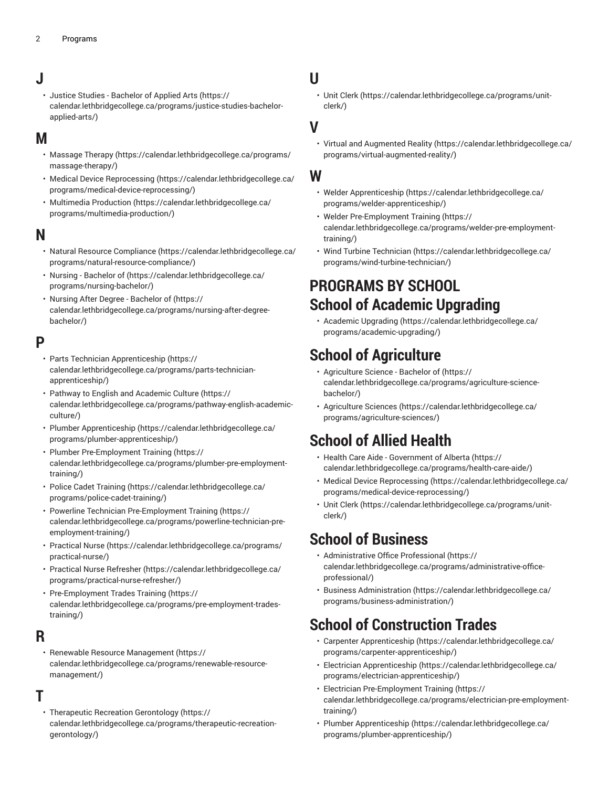### **J**

• Justice Studies - [Bachelor](https://calendar.lethbridgecollege.ca/programs/justice-studies-bachelor-applied-arts/) of Applied Arts [\(https://](https://calendar.lethbridgecollege.ca/programs/justice-studies-bachelor-applied-arts/) [calendar.lethbridgecollege.ca/programs/justice-studies-bachelor](https://calendar.lethbridgecollege.ca/programs/justice-studies-bachelor-applied-arts/)[applied-arts/\)](https://calendar.lethbridgecollege.ca/programs/justice-studies-bachelor-applied-arts/)

#### **M**

- [Massage](https://calendar.lethbridgecollege.ca/programs/massage-therapy/) Therapy ([https://calendar.lethbridgecollege.ca/programs/](https://calendar.lethbridgecollege.ca/programs/massage-therapy/) [massage-therapy/\)](https://calendar.lethbridgecollege.ca/programs/massage-therapy/)
- Medical Device [Reprocessing \(https://calendar.lethbridgecollege.ca/](https://calendar.lethbridgecollege.ca/programs/medical-device-reprocessing/) [programs/medical-device-reprocessing/\)](https://calendar.lethbridgecollege.ca/programs/medical-device-reprocessing/)
- [Multimedia](https://calendar.lethbridgecollege.ca/programs/multimedia-production/) Production ([https://calendar.lethbridgecollege.ca/](https://calendar.lethbridgecollege.ca/programs/multimedia-production/) [programs/multimedia-production/\)](https://calendar.lethbridgecollege.ca/programs/multimedia-production/)

#### **N**

- Natural Resource [Compliance](https://calendar.lethbridgecollege.ca/programs/natural-resource-compliance/) ([https://calendar.lethbridgecollege.ca/](https://calendar.lethbridgecollege.ca/programs/natural-resource-compliance/) [programs/natural-resource-compliance/\)](https://calendar.lethbridgecollege.ca/programs/natural-resource-compliance/)
- [Nursing Bachelor of](https://calendar.lethbridgecollege.ca/programs/nursing-bachelor/) [\(https://calendar.lethbridgecollege.ca/](https://calendar.lethbridgecollege.ca/programs/nursing-bachelor/) [programs/nursing-bachelor/\)](https://calendar.lethbridgecollege.ca/programs/nursing-bachelor/)
- Nursing After Degree [Bachelor](https://calendar.lethbridgecollege.ca/programs/nursing-after-degree-bachelor/) of ([https://](https://calendar.lethbridgecollege.ca/programs/nursing-after-degree-bachelor/) [calendar.lethbridgecollege.ca/programs/nursing-after-degree](https://calendar.lethbridgecollege.ca/programs/nursing-after-degree-bachelor/)[bachelor/\)](https://calendar.lethbridgecollege.ca/programs/nursing-after-degree-bachelor/)

#### **P**

- Parts Technician [Apprenticeship](https://calendar.lethbridgecollege.ca/programs/parts-technician-apprenticeship/) [\(https://](https://calendar.lethbridgecollege.ca/programs/parts-technician-apprenticeship/) [calendar.lethbridgecollege.ca/programs/parts-technician](https://calendar.lethbridgecollege.ca/programs/parts-technician-apprenticeship/)[apprenticeship/\)](https://calendar.lethbridgecollege.ca/programs/parts-technician-apprenticeship/)
- Pathway to English and [Academic](https://calendar.lethbridgecollege.ca/programs/pathway-english-academic-culture/) Culture ([https://](https://calendar.lethbridgecollege.ca/programs/pathway-english-academic-culture/) [calendar.lethbridgecollege.ca/programs/pathway-english-academic](https://calendar.lethbridgecollege.ca/programs/pathway-english-academic-culture/)[culture/](https://calendar.lethbridgecollege.ca/programs/pathway-english-academic-culture/))
- Plumber [Apprenticeship](https://calendar.lethbridgecollege.ca/programs/plumber-apprenticeship/) ([https://calendar.lethbridgecollege.ca/](https://calendar.lethbridgecollege.ca/programs/plumber-apprenticeship/) [programs/plumber-apprenticeship/](https://calendar.lethbridgecollege.ca/programs/plumber-apprenticeship/))
- Plumber [Pre-Employment](https://calendar.lethbridgecollege.ca/programs/plumber-pre-employment-training/) Training [\(https://](https://calendar.lethbridgecollege.ca/programs/plumber-pre-employment-training/) [calendar.lethbridgecollege.ca/programs/plumber-pre-employment](https://calendar.lethbridgecollege.ca/programs/plumber-pre-employment-training/)[training/\)](https://calendar.lethbridgecollege.ca/programs/plumber-pre-employment-training/)
- Police Cadet [Training](https://calendar.lethbridgecollege.ca/programs/police-cadet-training/) ([https://calendar.lethbridgecollege.ca/](https://calendar.lethbridgecollege.ca/programs/police-cadet-training/) [programs/police-cadet-training/\)](https://calendar.lethbridgecollege.ca/programs/police-cadet-training/)
- Powerline Technician [Pre-Employment](https://calendar.lethbridgecollege.ca/programs/powerline-technician-pre-employment-training/) Training ([https://](https://calendar.lethbridgecollege.ca/programs/powerline-technician-pre-employment-training/) [calendar.lethbridgecollege.ca/programs/powerline-technician-pre](https://calendar.lethbridgecollege.ca/programs/powerline-technician-pre-employment-training/)[employment-training/\)](https://calendar.lethbridgecollege.ca/programs/powerline-technician-pre-employment-training/)
- [Practical Nurse](https://calendar.lethbridgecollege.ca/programs/practical-nurse/) ([https://calendar.lethbridgecollege.ca/programs/](https://calendar.lethbridgecollege.ca/programs/practical-nurse/) [practical-nurse/](https://calendar.lethbridgecollege.ca/programs/practical-nurse/))
- Practical Nurse [Refresher](https://calendar.lethbridgecollege.ca/programs/practical-nurse-refresher/) ([https://calendar.lethbridgecollege.ca/](https://calendar.lethbridgecollege.ca/programs/practical-nurse-refresher/) [programs/practical-nurse-refresher/](https://calendar.lethbridgecollege.ca/programs/practical-nurse-refresher/))
- [Pre-Employment](https://calendar.lethbridgecollege.ca/programs/pre-employment-trades-training/) Trades Training ([https://](https://calendar.lethbridgecollege.ca/programs/pre-employment-trades-training/) [calendar.lethbridgecollege.ca/programs/pre-employment-trades](https://calendar.lethbridgecollege.ca/programs/pre-employment-trades-training/)[training/\)](https://calendar.lethbridgecollege.ca/programs/pre-employment-trades-training/)

#### **R**

• Renewable Resource [Management](https://calendar.lethbridgecollege.ca/programs/renewable-resource-management/) ([https://](https://calendar.lethbridgecollege.ca/programs/renewable-resource-management/) [calendar.lethbridgecollege.ca/programs/renewable-resource](https://calendar.lethbridgecollege.ca/programs/renewable-resource-management/)[management/\)](https://calendar.lethbridgecollege.ca/programs/renewable-resource-management/)

#### **T**

• Therapeutic Recreation [Gerontology \(https://](https://calendar.lethbridgecollege.ca/programs/therapeutic-recreation-gerontology/) [calendar.lethbridgecollege.ca/programs/therapeutic-recreation](https://calendar.lethbridgecollege.ca/programs/therapeutic-recreation-gerontology/)[gerontology/](https://calendar.lethbridgecollege.ca/programs/therapeutic-recreation-gerontology/))

### **U**

• [Unit Clerk](https://calendar.lethbridgecollege.ca/programs/unit-clerk/) ([https://calendar.lethbridgecollege.ca/programs/unit](https://calendar.lethbridgecollege.ca/programs/unit-clerk/)[clerk/](https://calendar.lethbridgecollege.ca/programs/unit-clerk/))

#### **V**

• Virtual and [Augmented](https://calendar.lethbridgecollege.ca/programs/virtual-augmented-reality/) Reality [\(https://calendar.lethbridgecollege.ca/](https://calendar.lethbridgecollege.ca/programs/virtual-augmented-reality/) [programs/virtual-augmented-reality/](https://calendar.lethbridgecollege.ca/programs/virtual-augmented-reality/))

#### **W**

- Welder [Apprenticeship](https://calendar.lethbridgecollege.ca/programs/welder-apprenticeship/) ([https://calendar.lethbridgecollege.ca/](https://calendar.lethbridgecollege.ca/programs/welder-apprenticeship/) [programs/welder-apprenticeship/](https://calendar.lethbridgecollege.ca/programs/welder-apprenticeship/))
- Welder [Pre-Employment](https://calendar.lethbridgecollege.ca/programs/welder-pre-employment-training/) Training [\(https://](https://calendar.lethbridgecollege.ca/programs/welder-pre-employment-training/) [calendar.lethbridgecollege.ca/programs/welder-pre-employment](https://calendar.lethbridgecollege.ca/programs/welder-pre-employment-training/)[training/](https://calendar.lethbridgecollege.ca/programs/welder-pre-employment-training/))
- Wind Turbine [Technician \(https://calendar.lethbridgecollege.ca/](https://calendar.lethbridgecollege.ca/programs/wind-turbine-technician/) [programs/wind-turbine-technician/](https://calendar.lethbridgecollege.ca/programs/wind-turbine-technician/))

### **PROGRAMS BY SCHOOL School of Academic Upgrading**

• [Academic Upgrading](https://calendar.lethbridgecollege.ca/programs/academic-upgrading/) [\(https://calendar.lethbridgecollege.ca/](https://calendar.lethbridgecollege.ca/programs/academic-upgrading/) [programs/academic-upgrading/](https://calendar.lethbridgecollege.ca/programs/academic-upgrading/))

### **School of Agriculture**

- [Agriculture](https://calendar.lethbridgecollege.ca/programs/agriculture-science-bachelor/) Science Bachelor of [\(https://](https://calendar.lethbridgecollege.ca/programs/agriculture-science-bachelor/) [calendar.lethbridgecollege.ca/programs/agriculture-science](https://calendar.lethbridgecollege.ca/programs/agriculture-science-bachelor/)[bachelor/\)](https://calendar.lethbridgecollege.ca/programs/agriculture-science-bachelor/)
- [Agriculture](https://calendar.lethbridgecollege.ca/programs/agriculture-sciences/) Sciences [\(https://calendar.lethbridgecollege.ca/](https://calendar.lethbridgecollege.ca/programs/agriculture-sciences/) [programs/agriculture-sciences/](https://calendar.lethbridgecollege.ca/programs/agriculture-sciences/))

# **School of Allied Health**

- Health Care Aide [Government](https://calendar.lethbridgecollege.ca/programs/health-care-aide/) of Alberta [\(https://](https://calendar.lethbridgecollege.ca/programs/health-care-aide/) [calendar.lethbridgecollege.ca/programs/health-care-aide/\)](https://calendar.lethbridgecollege.ca/programs/health-care-aide/)
- Medical Device [Reprocessing](https://calendar.lethbridgecollege.ca/programs/medical-device-reprocessing/) ([https://calendar.lethbridgecollege.ca/](https://calendar.lethbridgecollege.ca/programs/medical-device-reprocessing/) [programs/medical-device-reprocessing/](https://calendar.lethbridgecollege.ca/programs/medical-device-reprocessing/))
- [Unit Clerk](https://calendar.lethbridgecollege.ca/programs/unit-clerk/) ([https://calendar.lethbridgecollege.ca/programs/unit](https://calendar.lethbridgecollege.ca/programs/unit-clerk/)[clerk/](https://calendar.lethbridgecollege.ca/programs/unit-clerk/))

### **School of Business**

- [Administrative](https://calendar.lethbridgecollege.ca/programs/administrative-office-professional/) Office Professional [\(https://](https://calendar.lethbridgecollege.ca/programs/administrative-office-professional/) [calendar.lethbridgecollege.ca/programs/administrative-office](https://calendar.lethbridgecollege.ca/programs/administrative-office-professional/)[professional/](https://calendar.lethbridgecollege.ca/programs/administrative-office-professional/))
- [Business Administration \(https://calendar.lethbridgecollege.ca/](https://calendar.lethbridgecollege.ca/programs/business-administration/) [programs/business-administration/\)](https://calendar.lethbridgecollege.ca/programs/business-administration/)

### **School of Construction Trades**

- Carpenter [Apprenticeship \(https://calendar.lethbridgecollege.ca/](https://calendar.lethbridgecollege.ca/programs/carpenter-apprenticeship/) [programs/carpenter-apprenticeship/\)](https://calendar.lethbridgecollege.ca/programs/carpenter-apprenticeship/)
- Electrician [Apprenticeship](https://calendar.lethbridgecollege.ca/programs/electrician-apprenticeship/) [\(https://calendar.lethbridgecollege.ca/](https://calendar.lethbridgecollege.ca/programs/electrician-apprenticeship/) [programs/electrician-apprenticeship/\)](https://calendar.lethbridgecollege.ca/programs/electrician-apprenticeship/)
- Electrician [Pre-Employment](https://calendar.lethbridgecollege.ca/programs/electrician-pre-employment-training/) Training [\(https://](https://calendar.lethbridgecollege.ca/programs/electrician-pre-employment-training/) [calendar.lethbridgecollege.ca/programs/electrician-pre-employment](https://calendar.lethbridgecollege.ca/programs/electrician-pre-employment-training/)[training/](https://calendar.lethbridgecollege.ca/programs/electrician-pre-employment-training/))
- Plumber [Apprenticeship \(https://calendar.lethbridgecollege.ca/](https://calendar.lethbridgecollege.ca/programs/plumber-apprenticeship/) [programs/plumber-apprenticeship/\)](https://calendar.lethbridgecollege.ca/programs/plumber-apprenticeship/)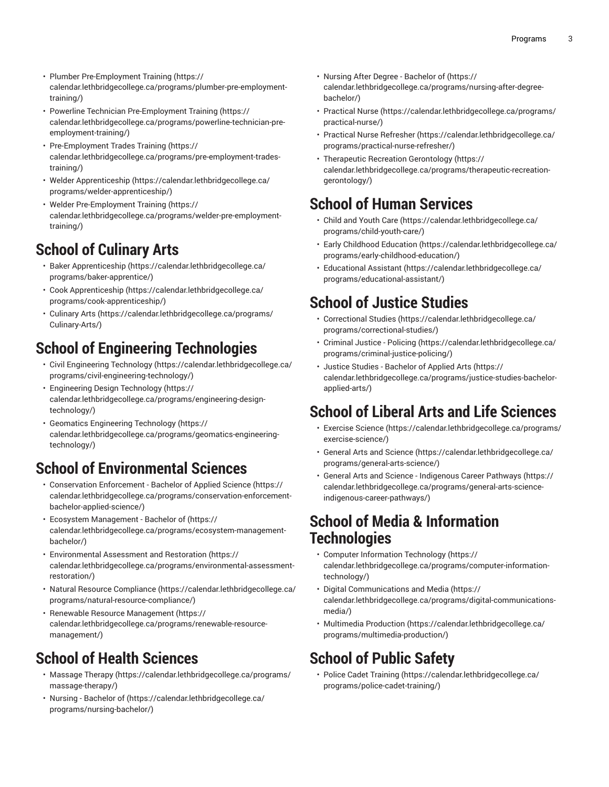- Plumber [Pre-Employment](https://calendar.lethbridgecollege.ca/programs/plumber-pre-employment-training/) Training [\(https://](https://calendar.lethbridgecollege.ca/programs/plumber-pre-employment-training/) [calendar.lethbridgecollege.ca/programs/plumber-pre-employment](https://calendar.lethbridgecollege.ca/programs/plumber-pre-employment-training/)[training/\)](https://calendar.lethbridgecollege.ca/programs/plumber-pre-employment-training/)
- Powerline Technician [Pre-Employment](https://calendar.lethbridgecollege.ca/programs/powerline-technician-pre-employment-training/) Training ([https://](https://calendar.lethbridgecollege.ca/programs/powerline-technician-pre-employment-training/) [calendar.lethbridgecollege.ca/programs/powerline-technician-pre](https://calendar.lethbridgecollege.ca/programs/powerline-technician-pre-employment-training/)[employment-training/\)](https://calendar.lethbridgecollege.ca/programs/powerline-technician-pre-employment-training/)
- [Pre-Employment](https://calendar.lethbridgecollege.ca/programs/pre-employment-trades-training/) Trades Training ([https://](https://calendar.lethbridgecollege.ca/programs/pre-employment-trades-training/) [calendar.lethbridgecollege.ca/programs/pre-employment-trades](https://calendar.lethbridgecollege.ca/programs/pre-employment-trades-training/)[training/\)](https://calendar.lethbridgecollege.ca/programs/pre-employment-trades-training/)
- Welder [Apprenticeship \(https://calendar.lethbridgecollege.ca/](https://calendar.lethbridgecollege.ca/programs/welder-apprenticeship/) [programs/welder-apprenticeship/\)](https://calendar.lethbridgecollege.ca/programs/welder-apprenticeship/)
- Welder [Pre-Employment](https://calendar.lethbridgecollege.ca/programs/welder-pre-employment-training/) Training ([https://](https://calendar.lethbridgecollege.ca/programs/welder-pre-employment-training/) [calendar.lethbridgecollege.ca/programs/welder-pre-employment](https://calendar.lethbridgecollege.ca/programs/welder-pre-employment-training/)[training/\)](https://calendar.lethbridgecollege.ca/programs/welder-pre-employment-training/)

### **School of Culinary Arts**

- Baker [Apprenticeship \(https://calendar.lethbridgecollege.ca/](https://calendar.lethbridgecollege.ca/programs/baker-apprentice/) [programs/baker-apprentice/](https://calendar.lethbridgecollege.ca/programs/baker-apprentice/))
- Cook [Apprenticeship](https://calendar.lethbridgecollege.ca/programs/cook-apprenticeship/) [\(https://calendar.lethbridgecollege.ca/](https://calendar.lethbridgecollege.ca/programs/cook-apprenticeship/) [programs/cook-apprenticeship/](https://calendar.lethbridgecollege.ca/programs/cook-apprenticeship/))
- [Culinary](https://calendar.lethbridgecollege.ca/programs/Culinary-Arts/) Arts ([https://calendar.lethbridgecollege.ca/programs/](https://calendar.lethbridgecollege.ca/programs/Culinary-Arts/) [Culinary-Arts/\)](https://calendar.lethbridgecollege.ca/programs/Culinary-Arts/)

### **School of Engineering Technologies**

- Civil [Engineering](https://calendar.lethbridgecollege.ca/programs/civil-engineering-technology/) Technology ([https://calendar.lethbridgecollege.ca/](https://calendar.lethbridgecollege.ca/programs/civil-engineering-technology/) [programs/civil-engineering-technology/\)](https://calendar.lethbridgecollege.ca/programs/civil-engineering-technology/)
- [Engineering](https://calendar.lethbridgecollege.ca/programs/engineering-design-technology/) Design Technology [\(https://](https://calendar.lethbridgecollege.ca/programs/engineering-design-technology/) [calendar.lethbridgecollege.ca/programs/engineering-design](https://calendar.lethbridgecollege.ca/programs/engineering-design-technology/)[technology/](https://calendar.lethbridgecollege.ca/programs/engineering-design-technology/))
- Geomatics [Engineering](https://calendar.lethbridgecollege.ca/programs/geomatics-engineering-technology/) Technology ([https://](https://calendar.lethbridgecollege.ca/programs/geomatics-engineering-technology/) [calendar.lethbridgecollege.ca/programs/geomatics-engineering](https://calendar.lethbridgecollege.ca/programs/geomatics-engineering-technology/)[technology/](https://calendar.lethbridgecollege.ca/programs/geomatics-engineering-technology/))

### **School of Environmental Sciences**

- [Conservation](https://calendar.lethbridgecollege.ca/programs/conservation-enforcement-bachelor-applied-science/) Enforcement Bachelor of Applied Science [\(https://](https://calendar.lethbridgecollege.ca/programs/conservation-enforcement-bachelor-applied-science/) [calendar.lethbridgecollege.ca/programs/conservation-enforcement](https://calendar.lethbridgecollege.ca/programs/conservation-enforcement-bachelor-applied-science/)[bachelor-applied-science/\)](https://calendar.lethbridgecollege.ca/programs/conservation-enforcement-bachelor-applied-science/)
- Ecosystem [Management](https://calendar.lethbridgecollege.ca/programs/ecosystem-management-bachelor/) Bachelor of [\(https://](https://calendar.lethbridgecollege.ca/programs/ecosystem-management-bachelor/) [calendar.lethbridgecollege.ca/programs/ecosystem-management](https://calendar.lethbridgecollege.ca/programs/ecosystem-management-bachelor/)[bachelor/\)](https://calendar.lethbridgecollege.ca/programs/ecosystem-management-bachelor/)
- [Environmental](https://calendar.lethbridgecollege.ca/programs/environmental-assessment-restoration/) Assessment and Restoration ([https://](https://calendar.lethbridgecollege.ca/programs/environmental-assessment-restoration/) [calendar.lethbridgecollege.ca/programs/environmental-assessment](https://calendar.lethbridgecollege.ca/programs/environmental-assessment-restoration/)[restoration/\)](https://calendar.lethbridgecollege.ca/programs/environmental-assessment-restoration/)
- Natural Resource [Compliance](https://calendar.lethbridgecollege.ca/programs/natural-resource-compliance/) ([https://calendar.lethbridgecollege.ca/](https://calendar.lethbridgecollege.ca/programs/natural-resource-compliance/) [programs/natural-resource-compliance/\)](https://calendar.lethbridgecollege.ca/programs/natural-resource-compliance/)
- Renewable Resource [Management](https://calendar.lethbridgecollege.ca/programs/renewable-resource-management/) ([https://](https://calendar.lethbridgecollege.ca/programs/renewable-resource-management/) [calendar.lethbridgecollege.ca/programs/renewable-resource](https://calendar.lethbridgecollege.ca/programs/renewable-resource-management/)[management/\)](https://calendar.lethbridgecollege.ca/programs/renewable-resource-management/)

### **School of Health Sciences**

- [Massage](https://calendar.lethbridgecollege.ca/programs/massage-therapy/) Therapy ([https://calendar.lethbridgecollege.ca/programs/](https://calendar.lethbridgecollege.ca/programs/massage-therapy/) [massage-therapy/\)](https://calendar.lethbridgecollege.ca/programs/massage-therapy/)
- [Nursing Bachelor of](https://calendar.lethbridgecollege.ca/programs/nursing-bachelor/) [\(https://calendar.lethbridgecollege.ca/](https://calendar.lethbridgecollege.ca/programs/nursing-bachelor/) [programs/nursing-bachelor/\)](https://calendar.lethbridgecollege.ca/programs/nursing-bachelor/)
- Nursing After Degree [Bachelor](https://calendar.lethbridgecollege.ca/programs/nursing-after-degree-bachelor/) of [\(https://](https://calendar.lethbridgecollege.ca/programs/nursing-after-degree-bachelor/) [calendar.lethbridgecollege.ca/programs/nursing-after-degree](https://calendar.lethbridgecollege.ca/programs/nursing-after-degree-bachelor/)[bachelor/\)](https://calendar.lethbridgecollege.ca/programs/nursing-after-degree-bachelor/)
- [Practical Nurse \(https://calendar.lethbridgecollege.ca/programs/](https://calendar.lethbridgecollege.ca/programs/practical-nurse/) [practical-nurse/](https://calendar.lethbridgecollege.ca/programs/practical-nurse/))
- Practical Nurse [Refresher](https://calendar.lethbridgecollege.ca/programs/practical-nurse-refresher/) [\(https://calendar.lethbridgecollege.ca/](https://calendar.lethbridgecollege.ca/programs/practical-nurse-refresher/) [programs/practical-nurse-refresher/\)](https://calendar.lethbridgecollege.ca/programs/practical-nurse-refresher/)
- Therapeutic Recreation [Gerontology](https://calendar.lethbridgecollege.ca/programs/therapeutic-recreation-gerontology/) ([https://](https://calendar.lethbridgecollege.ca/programs/therapeutic-recreation-gerontology/) [calendar.lethbridgecollege.ca/programs/therapeutic-recreation](https://calendar.lethbridgecollege.ca/programs/therapeutic-recreation-gerontology/)[gerontology/\)](https://calendar.lethbridgecollege.ca/programs/therapeutic-recreation-gerontology/)

### **School of Human Services**

- Child and [Youth](https://calendar.lethbridgecollege.ca/programs/child-youth-care/) Care ([https://calendar.lethbridgecollege.ca/](https://calendar.lethbridgecollege.ca/programs/child-youth-care/) [programs/child-youth-care/](https://calendar.lethbridgecollege.ca/programs/child-youth-care/))
- Early Childhood [Education \(https://calendar.lethbridgecollege.ca/](https://calendar.lethbridgecollege.ca/programs/early-childhood-education/) [programs/early-childhood-education/\)](https://calendar.lethbridgecollege.ca/programs/early-childhood-education/)
- [Educational](https://calendar.lethbridgecollege.ca/programs/educational-assistant/) Assistant ([https://calendar.lethbridgecollege.ca/](https://calendar.lethbridgecollege.ca/programs/educational-assistant/) [programs/educational-assistant/](https://calendar.lethbridgecollege.ca/programs/educational-assistant/))

### **School of Justice Studies**

- [Correctional](https://calendar.lethbridgecollege.ca/programs/correctional-studies/) Studies ([https://calendar.lethbridgecollege.ca/](https://calendar.lethbridgecollege.ca/programs/correctional-studies/) [programs/correctional-studies/](https://calendar.lethbridgecollege.ca/programs/correctional-studies/))
- [Criminal](https://calendar.lethbridgecollege.ca/programs/criminal-justice-policing/) Justice Policing [\(https://calendar.lethbridgecollege.ca/](https://calendar.lethbridgecollege.ca/programs/criminal-justice-policing/) [programs/criminal-justice-policing/](https://calendar.lethbridgecollege.ca/programs/criminal-justice-policing/))
- Justice Studies [Bachelor](https://calendar.lethbridgecollege.ca/programs/justice-studies-bachelor-applied-arts/) of Applied Arts ([https://](https://calendar.lethbridgecollege.ca/programs/justice-studies-bachelor-applied-arts/) [calendar.lethbridgecollege.ca/programs/justice-studies-bachelor](https://calendar.lethbridgecollege.ca/programs/justice-studies-bachelor-applied-arts/)[applied-arts/](https://calendar.lethbridgecollege.ca/programs/justice-studies-bachelor-applied-arts/))

# **School of Liberal Arts and Life Sciences**

- [Exercise](https://calendar.lethbridgecollege.ca/programs/exercise-science/) Science ([https://calendar.lethbridgecollege.ca/programs/](https://calendar.lethbridgecollege.ca/programs/exercise-science/) [exercise-science/](https://calendar.lethbridgecollege.ca/programs/exercise-science/))
- General Arts and [Science \(https://calendar.lethbridgecollege.ca/](https://calendar.lethbridgecollege.ca/programs/general-arts-science/) [programs/general-arts-science/](https://calendar.lethbridgecollege.ca/programs/general-arts-science/))
- General Arts and Science [Indigenous](https://calendar.lethbridgecollege.ca/programs/general-arts-science-indigenous-career-pathways/) Career Pathways [\(https://](https://calendar.lethbridgecollege.ca/programs/general-arts-science-indigenous-career-pathways/) [calendar.lethbridgecollege.ca/programs/general-arts-science](https://calendar.lethbridgecollege.ca/programs/general-arts-science-indigenous-career-pathways/)[indigenous-career-pathways/](https://calendar.lethbridgecollege.ca/programs/general-arts-science-indigenous-career-pathways/))

#### **School of Media & Information Technologies**

- Computer [Information](https://calendar.lethbridgecollege.ca/programs/computer-information-technology/) Technology [\(https://](https://calendar.lethbridgecollege.ca/programs/computer-information-technology/) [calendar.lethbridgecollege.ca/programs/computer-information](https://calendar.lethbridgecollege.ca/programs/computer-information-technology/)[technology/\)](https://calendar.lethbridgecollege.ca/programs/computer-information-technology/)
- [Digital Communications and Media](https://calendar.lethbridgecollege.ca/programs/digital-communications-media/) ([https://](https://calendar.lethbridgecollege.ca/programs/digital-communications-media/) [calendar.lethbridgecollege.ca/programs/digital-communications](https://calendar.lethbridgecollege.ca/programs/digital-communications-media/)[media/\)](https://calendar.lethbridgecollege.ca/programs/digital-communications-media/)
- [Multimedia](https://calendar.lethbridgecollege.ca/programs/multimedia-production/) Production [\(https://calendar.lethbridgecollege.ca/](https://calendar.lethbridgecollege.ca/programs/multimedia-production/) [programs/multimedia-production/](https://calendar.lethbridgecollege.ca/programs/multimedia-production/))

### **School of Public Safety**

• Police Cadet [Training \(https://calendar.lethbridgecollege.ca/](https://calendar.lethbridgecollege.ca/programs/police-cadet-training/) [programs/police-cadet-training/](https://calendar.lethbridgecollege.ca/programs/police-cadet-training/))